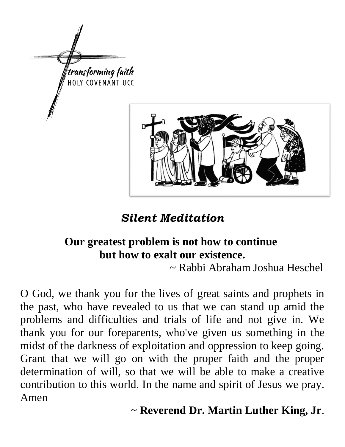

*Silent Meditation* 

# **Our greatest problem is not how to continue but how to exalt our existence.**

~ Rabbi Abraham Joshua Heschel

O God, we thank you for the lives of great saints and prophets in the past, who have revealed to us that we can stand up amid the problems and difficulties and trials of life and not give in. We thank you for our foreparents, who've given us something in the midst of the darkness of exploitation and oppression to keep going. Grant that we will go on with the proper faith and the proper determination of will, so that we will be able to make a creative contribution to this world. In the name and spirit of Jesus we pray. Amen

~ **Reverend Dr. Martin Luther King, Jr**.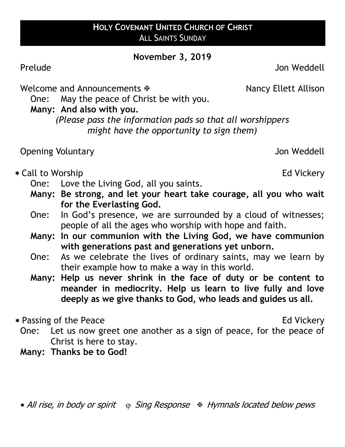#### **HOLY COVENANT UNITED CHURCH OF CHRIST** ALL SAINTS SUNDAY

#### **November 3, 2019**

Prelude Jon Weddell

Welcome and Announcements  $\mathbb F$  Nancy Ellett Allison

One: May the peace of Christ be with you.

**Many: And also with you.**

*(Please pass the information pads so that all worshippers might have the opportunity to sign them)*

Opening Voluntary Jon Weddell

\* Call to Worship **Ed Vickery** 

- One: Love the Living God, all you saints.
- **Many: Be strong, and let your heart take courage, all you who wait for the Everlasting God.**
- One: In God's presence, we are surrounded by a cloud of witnesses; people of all the ages who worship with hope and faith.
- **Many: In our communion with the Living God, we have communion with generations past and generations yet unborn.**
- One: As we celebrate the lives of ordinary saints, may we learn by their example how to make a way in this world.
- **Many: Help us never shrink in the face of duty or be content to meander in mediocrity. Help us learn to live fully and love deeply as we give thanks to God, who leads and guides us all.**

\* Passing of the Peace Ed Vickery

- One: Let us now greet one another as a sign of peace, for the peace of Christ is here to stay.
- **Many: Thanks be to God!**

\* All rise, in body or spirit (p) Sing Response & Hymnals located below pews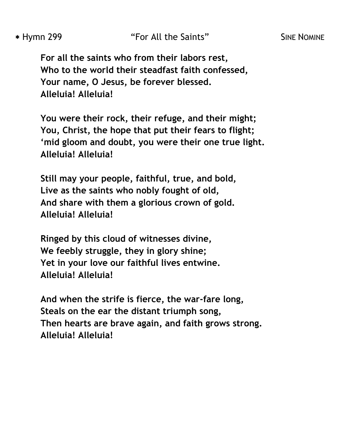**For all the saints who from their labors rest, Who to the world their steadfast faith confessed, Your name, O Jesus, be forever blessed. Alleluia! Alleluia!**

**You were their rock, their refuge, and their might; You, Christ, the hope that put their fears to flight; 'mid gloom and doubt, you were their one true light. Alleluia! Alleluia!**

**Still may your people, faithful, true, and bold, Live as the saints who nobly fought of old, And share with them a glorious crown of gold. Alleluia! Alleluia!**

**Ringed by this cloud of witnesses divine, We feebly struggle, they in glory shine; Yet in your love our faithful lives entwine. Alleluia! Alleluia!**

**And when the strife is fierce, the war-fare long, Steals on the ear the distant triumph song, Then hearts are brave again, and faith grows strong. Alleluia! Alleluia!**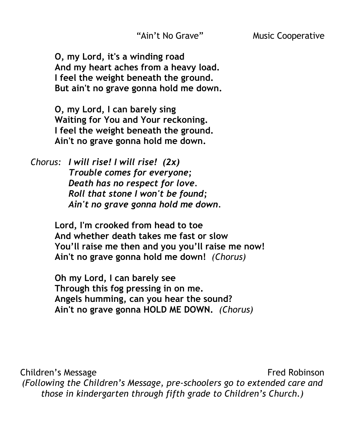**O, my Lord, it's a winding road And my heart aches from a heavy load. I feel the weight beneath the ground. But ain't no grave gonna hold me down.**

**O, my Lord, I can barely sing Waiting for You and Your reckoning. I feel the weight beneath the ground. Ain't no grave gonna hold me down.**

*Chorus: I will rise! I will rise! (2x) Trouble comes for everyone; Death has no respect for love. Roll that stone I won't be found; Ain't no grave gonna hold me down.*

> **Lord, I'm crooked from head to toe And whether death takes me fast or slow You'll raise me then and you you'll raise me now! Ain't no grave gonna hold me down!** *(Chorus)*

**Oh my Lord, I can barely see Through this fog pressing in on me. Angels humming, can you hear the sound? Ain't no grave gonna HOLD ME DOWN.** *(Chorus)*

Children's Message **Fred Robinson** *(Following the Children's Message, pre-schoolers go to extended care and those in kindergarten through fifth grade to Children's Church.)*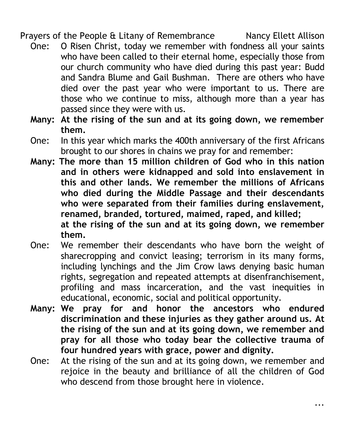Prayers of the People & Litany of Remembrance Nancy Ellett Allison

- One: O Risen Christ, today we remember with fondness all your saints who have been called to their eternal home, especially those from our church community who have died during this past year: Budd and Sandra Blume and Gail Bushman.There are others who have died over the past year who were important to us. There are those who we continue to miss, although more than a year has passed since they were with us.
- **Many: At the rising of the sun and at its going down, we remember them.**
- One: In this year which marks the 400th anniversary of the first Africans brought to our shores in chains we pray for and remember:
- **Many: The more than 15 million children of God who in this nation and in others were kidnapped and sold into enslavement in this and other lands. We remember the millions of Africans who died during the Middle Passage and their descendants who were separated from their families during enslavement, renamed, branded, tortured, maimed, raped, and killed; at the rising of the sun and at its going down, we remember them.**
- One: We remember their descendants who have born the weight of sharecropping and convict leasing; terrorism in its many forms, including lynchings and the Jim Crow laws denying basic human rights, segregation and repeated attempts at disenfranchisement, profiling and mass incarceration, and the vast inequities in educational, economic, social and political opportunity.
- **Many: We pray for and honor the ancestors who endured discrimination and these injuries as they gather around us. At the rising of the sun and at its going down, we remember and pray for all those who today bear the collective trauma of four hundred years with grace, power and dignity.**
- One: At the rising of the sun and at its going down, we remember and rejoice in the beauty and brilliance of all the children of God who descend from those brought here in violence.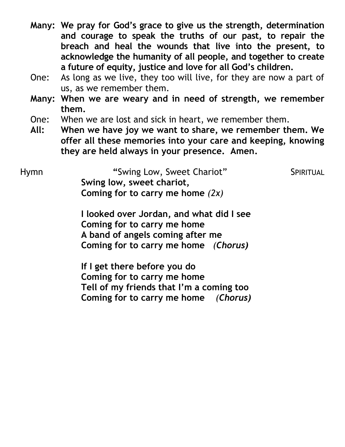- **Many: We pray for God's grace to give us the strength, determination and courage to speak the truths of our past, to repair the breach and heal the wounds that live into the present, to acknowledge the humanity of all people, and together to create a future of equity, justice and love for all God's children.**
- One: As long as we live, they too will live, for they are now a part of us, as we remember them.
- **Many: When we are weary and in need of strength, we remember them.**
- One: When we are lost and sick in heart, we remember them.
- **All: When we have joy we want to share, we remember them. We offer all these memories into your care and keeping, knowing they are held always in your presence. Amen.**

| Hymn | "Swing Low, Sweet Chariot"         | SPIRITUAL |
|------|------------------------------------|-----------|
|      | Swing low, sweet chariot,          |           |
|      | Coming for to carry me home $(2x)$ |           |

**I looked over Jordan, and what did I see Coming for to carry me home A band of angels coming after me Coming for to carry me home** *(Chorus)*

**If I get there before you do Coming for to carry me home Tell of my friends that I'm a coming too Coming for to carry me home** *(Chorus)*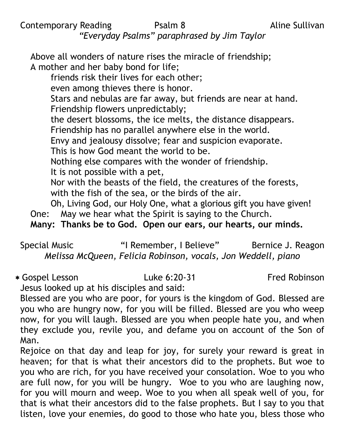Contemporary Reading **Psalm 8** Aline Sullivan *"Everyday Psalms" paraphrased by Jim Taylor*

Above all wonders of nature rises the miracle of friendship; A mother and her baby bond for life; friends risk their lives for each other; even among thieves there is honor. Stars and nebulas are far away, but friends are near at hand. Friendship flowers unpredictably; the desert blossoms, the ice melts, the distance disappears. Friendship has no parallel anywhere else in the world. Envy and jealousy dissolve; fear and suspicion evaporate. This is how God meant the world to be. Nothing else compares with the wonder of friendship. It is not possible with a pet, Nor with the beasts of the field, the creatures of the forests, with the fish of the sea, or the birds of the air. Oh, Living God, our Holy One, what a glorious gift you have given! One: May we hear what the Spirit is saying to the Church. **Many: Thanks be to God. Open our ears, our hearts, our minds.**

Special Music **"** "I Remember, I Believe" Bernice J. Reagon *Melissa McQueen, Felicia Robinson, vocals, Jon Weddell, piano*

Gospel Lesson Luke 6:20-31 Fred Robinson Jesus looked up at his disciples and said:

Blessed are you who are poor, for yours is the kingdom of God. Blessed are you who are hungry now, for you will be filled. Blessed are you who weep now, for you will laugh. Blessed are you when people hate you, and when they exclude you, revile you, and defame you on account of the Son of Man.

Rejoice on that day and leap for joy, for surely your reward is great in heaven; for that is what their ancestors did to the prophets. But woe to you who are rich, for you have received your consolation. Woe to you who are full now, for you will be hungry. Woe to you who are laughing now, for you will mourn and weep. Woe to you when all speak well of you, for that is what their ancestors did to the false prophets. But I say to you that listen, love your enemies, do good to those who hate you, bless those who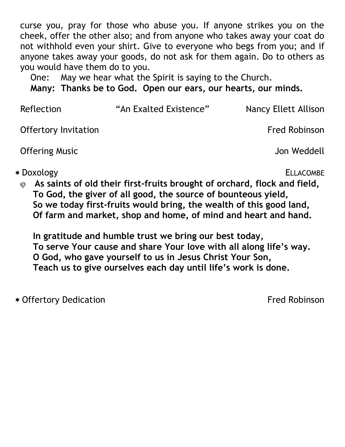curse you, pray for those who abuse you. If anyone strikes you on the cheek, offer the other also; and from anyone who takes away your coat do not withhold even your shirt. Give to everyone who begs from you; and if anyone takes away your goods, do not ask for them again. Do to others as you would have them do to you.

One: May we hear what the Spirit is saying to the Church.

**Many: Thanks be to God. Open our ears, our hearts, our minds.**

| Reflection                  | "An Exalted Existence" | Nancy Ellett Allison |
|-----------------------------|------------------------|----------------------|
| <b>Offertory Invitation</b> |                        | <b>Fred Robinson</b> |
| <b>Offering Music</b>       |                        | Jon Weddell          |
| * Doxology                  |                        | <b>ELLACOMBE</b>     |

**As saints of old their first-fruits brought of orchard, flock and field, To God, the giver of all good, the source of bounteous yield, So we today first-fruits would bring, the wealth of this good land, Of farm and market, shop and home, of mind and heart and hand.**

**In gratitude and humble trust we bring our best today, To serve Your cause and share Your love with all along life's way. O God, who gave yourself to us in Jesus Christ Your Son, Teach us to give ourselves each day until life's work is done.**

\* Offertory Dedication **Figure 2018 Fred Robinson**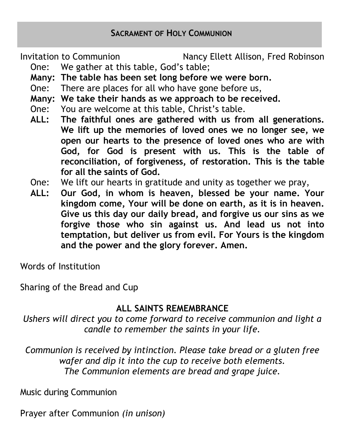Invitation to Communion **Nancy Ellett Allison, Fred Robinson** 

- One: We gather at this table, God's table;
- **Many: The table has been set long before we were born.**
- One: There are places for all who have gone before us,
- **Many: We take their hands as we approach to be received.**
- One: You are welcome at this table, Christ's table.
- **ALL: The faithful ones are gathered with us from all generations. We lift up the memories of loved ones we no longer see, we open our hearts to the presence of loved ones who are with God, for God is present with us. This is the table of reconciliation, of forgiveness, of restoration. This is the table for all the saints of God.**
- One: We lift our hearts in gratitude and unity as together we pray,
- **ALL: Our God, in whom is heaven, blessed be your name. Your kingdom come, Your will be done on earth, as it is in heaven. Give us this day our daily bread, and forgive us our sins as we forgive those who sin against us. And lead us not into temptation, but deliver us from evil. For Yours is the kingdom and the power and the glory forever. Amen.**

Words of Institution

Sharing of the Bread and Cup

# **ALL SAINTS REMEMBRANCE**

*Ushers will direct you to come forward to receive communion and light a candle to remember the saints in your life.*

*Communion is received by intinction. Please take bread or a gluten free wafer and dip it into the cup to receive both elements. The Communion elements are bread and grape juice.*

Music during Communion

Prayer after Communion *(in unison)*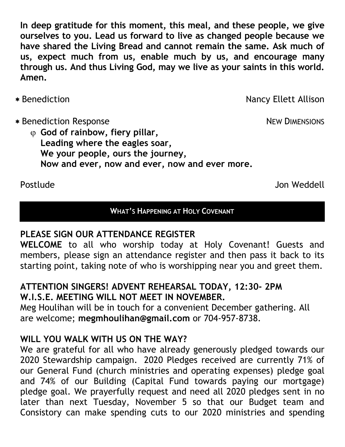**In deep gratitude for this moment, this meal, and these people, we give ourselves to you. Lead us forward to live as changed people because we have shared the Living Bread and cannot remain the same. Ask much of us, expect much from us, enable much by us, and encourage many through us. And thus Living God, may we live as your saints in this world. Amen.**

- 
- \* Benediction Nancy Ellett Allison

\* Benediction Response NEW DIMENSIONS

 **God of rainbow, fiery pillar, Leading where the eagles soar, We your people, ours the journey, Now and ever, now and ever, now and ever more.**

Postlude Jon Weddell

#### **WHAT'S HAPPENING AT HOLY COVENANT**

# **PLEASE SIGN OUR ATTENDANCE REGISTER**

**WELCOME** to all who worship today at Holy Covenant! Guests and members, please sign an attendance register and then pass it back to its starting point, taking note of who is worshipping near you and greet them.

#### **ATTENTION SINGERS! ADVENT REHEARSAL TODAY, 12:30- 2PM W.I.S.E. MEETING WILL NOT MEET IN NOVEMBER.**

Meg Houlihan will be in touch for a convenient December gathering. All are welcome; **megmhoulihan@gmail.com** or 704-957-8738.

# **WILL YOU WALK WITH US ON THE WAY?**

We are grateful for all who have already generously pledged towards our 2020 Stewardship campaign. 2020 Pledges received are currently 71% of our General Fund (church ministries and operating expenses) pledge goal and 74% of our Building (Capital Fund towards paying our mortgage) pledge goal. We prayerfully request and need all 2020 pledges sent in no later than next Tuesday, November 5 so that our Budget team and Consistory can make spending cuts to our 2020 ministries and spending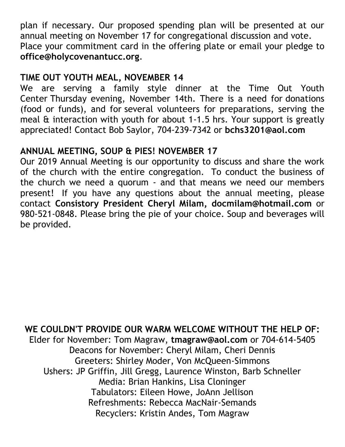plan if necessary. Our proposed spending plan will be presented at our annual meeting on November 17 for congregational discussion and vote. Place your commitment card in the offering plate or email your pledge to **office@holycovenantucc.org**.

# **TIME OUT YOUTH MEAL, NOVEMBER 14**

We are serving a family style dinner at the Time Out Youth Center Thursday evening, November 14th. There is a need for donations (food or funds), and for several volunteers for preparations, serving the meal & interaction with youth for about 1-1.5 hrs. Your support is greatly appreciated! Contact Bob Saylor, 704-239-7342 or **bchs3201@aol.com**

# **ANNUAL MEETING, SOUP & PIES! NOVEMBER 17**

Our 2019 Annual Meeting is our opportunity to discuss and share the work of the church with the entire congregation. To conduct the business of the church we need a quorum - and that means we need our members present! If you have any questions about the annual meeting, please contact **Consistory President Cheryl Milam, docmilam@hotmail.com** or 980-521-0848. Please bring the pie of your choice. Soup and beverages will be provided.

**WE COULDN'T PROVIDE OUR WARM WELCOME WITHOUT THE HELP OF:** Elder for November: Tom Magraw, **tmagraw@aol.com** or 704-614-5405 Deacons for November: Cheryl Milam, Cheri Dennis Greeters: Shirley Moder, Von McQueen-Simmons Ushers: JP Griffin, Jill Gregg, Laurence Winston, Barb Schneller Media: Brian Hankins, Lisa Cloninger Tabulators: Eileen Howe, JoAnn Jellison Refreshments: Rebecca MacNair-Semands Recyclers: Kristin Andes, Tom Magraw